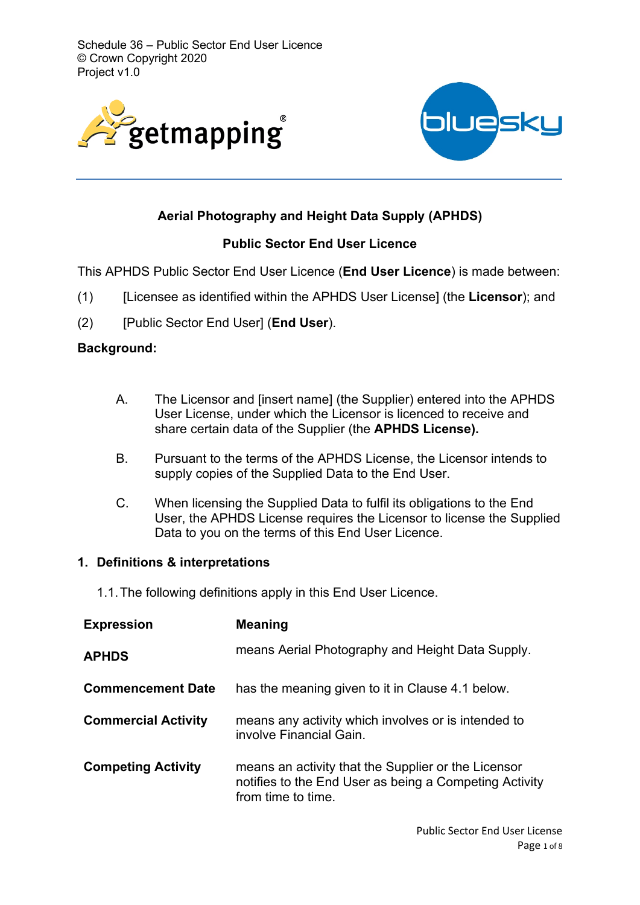



# **Aerial Photography and Height Data Supply (APHDS)**

## **Public Sector End User Licence**

This APHDS Public Sector End User Licence (**End User Licence**) is made between:

- (1) [Licensee as identified within the APHDS User License] (the **Licensor**); and
- (2) [Public Sector End User] (**End User**).

### **Background:**

- A. The Licensor and [insert name] (the Supplier) entered into the APHDS User License, under which the Licensor is licenced to receive and share certain data of the Supplier (the **APHDS License).**
- B. Pursuant to the terms of the APHDS License, the Licensor intends to supply copies of the Supplied Data to the End User.
- C. When licensing the Supplied Data to fulfil its obligations to the End User, the APHDS License requires the Licensor to license the Supplied Data to you on the terms of this End User Licence.

### **1. Definitions & interpretations**

1.1.The following definitions apply in this End User Licence.

| <b>Expression</b>          | <b>Meaning</b>                                                                                                                      |
|----------------------------|-------------------------------------------------------------------------------------------------------------------------------------|
| <b>APHDS</b>               | means Aerial Photography and Height Data Supply.                                                                                    |
| <b>Commencement Date</b>   | has the meaning given to it in Clause 4.1 below.                                                                                    |
| <b>Commercial Activity</b> | means any activity which involves or is intended to<br>involve Financial Gain.                                                      |
| <b>Competing Activity</b>  | means an activity that the Supplier or the Licensor<br>notifies to the End User as being a Competing Activity<br>from time to time. |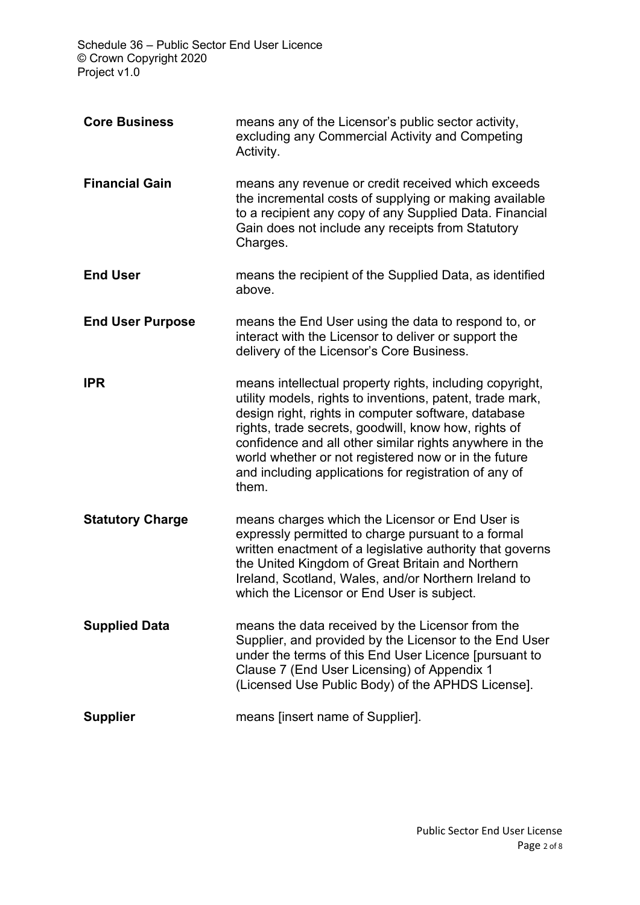| <b>Core Business</b>    | means any of the Licensor's public sector activity,<br>excluding any Commercial Activity and Competing<br>Activity.                                                                                                                                                                                                                                                                                                       |
|-------------------------|---------------------------------------------------------------------------------------------------------------------------------------------------------------------------------------------------------------------------------------------------------------------------------------------------------------------------------------------------------------------------------------------------------------------------|
| <b>Financial Gain</b>   | means any revenue or credit received which exceeds<br>the incremental costs of supplying or making available<br>to a recipient any copy of any Supplied Data. Financial<br>Gain does not include any receipts from Statutory<br>Charges.                                                                                                                                                                                  |
| <b>End User</b>         | means the recipient of the Supplied Data, as identified<br>above.                                                                                                                                                                                                                                                                                                                                                         |
| <b>End User Purpose</b> | means the End User using the data to respond to, or<br>interact with the Licensor to deliver or support the<br>delivery of the Licensor's Core Business.                                                                                                                                                                                                                                                                  |
| <b>IPR</b>              | means intellectual property rights, including copyright,<br>utility models, rights to inventions, patent, trade mark,<br>design right, rights in computer software, database<br>rights, trade secrets, goodwill, know how, rights of<br>confidence and all other similar rights anywhere in the<br>world whether or not registered now or in the future<br>and including applications for registration of any of<br>them. |
| <b>Statutory Charge</b> | means charges which the Licensor or End User is<br>expressly permitted to charge pursuant to a formal<br>written enactment of a legislative authority that governs<br>the United Kingdom of Great Britain and Northern<br>Ireland, Scotland, Wales, and/or Northern Ireland to<br>which the Licensor or End User is subject.                                                                                              |
| <b>Supplied Data</b>    | means the data received by the Licensor from the<br>Supplier, and provided by the Licensor to the End User<br>under the terms of this End User Licence [pursuant to<br>Clause 7 (End User Licensing) of Appendix 1<br>(Licensed Use Public Body) of the APHDS License].                                                                                                                                                   |
| <b>Supplier</b>         | means [insert name of Supplier].                                                                                                                                                                                                                                                                                                                                                                                          |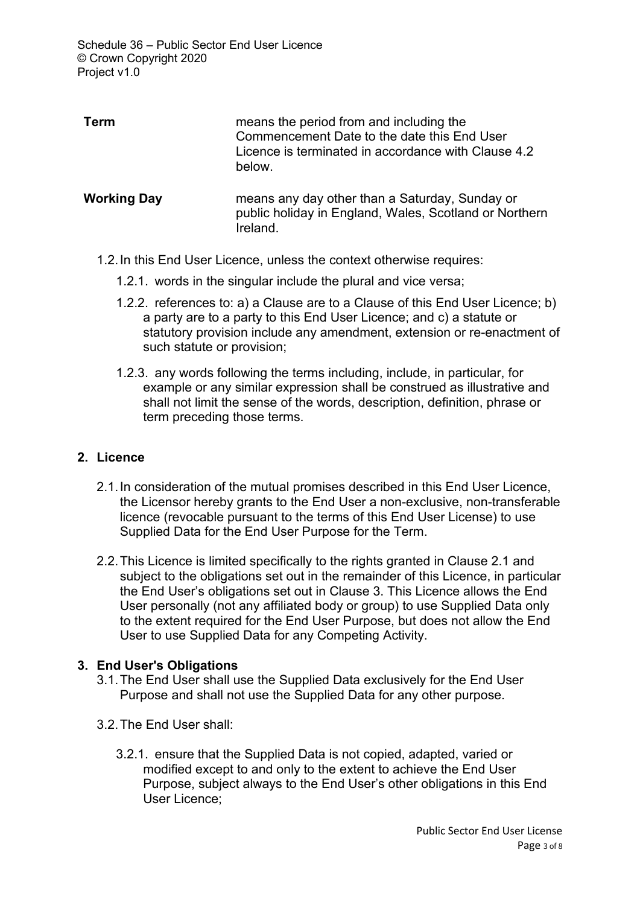| Term               | means the period from and including the<br>Commencement Date to the date this End User<br>Licence is terminated in accordance with Clause 4.2<br>below. |
|--------------------|---------------------------------------------------------------------------------------------------------------------------------------------------------|
| <b>Working Day</b> | means any day other than a Saturday, Sunday or<br>public holiday in England, Wales, Scotland or Northern<br>Ireland.                                    |

- 1.2.In this End User Licence, unless the context otherwise requires:
	- 1.2.1. words in the singular include the plural and vice versa;
	- 1.2.2. references to: a) a Clause are to a Clause of this End User Licence; b) a party are to a party to this End User Licence; and c) a statute or statutory provision include any amendment, extension or re-enactment of such statute or provision;
	- 1.2.3. any words following the terms including, include, in particular, for example or any similar expression shall be construed as illustrative and shall not limit the sense of the words, description, definition, phrase or term preceding those terms.

### **2. Licence**

- 2.1.In consideration of the mutual promises described in this End User Licence, the Licensor hereby grants to the End User a non-exclusive, non-transferable licence (revocable pursuant to the terms of this End User License) to use Supplied Data for the End User Purpose for the Term.
- 2.2.This Licence is limited specifically to the rights granted in Clause 2.1 and subject to the obligations set out in the remainder of this Licence, in particular the End User's obligations set out in Clause 3. This Licence allows the End User personally (not any affiliated body or group) to use Supplied Data only to the extent required for the End User Purpose, but does not allow the End User to use Supplied Data for any Competing Activity.

### **3. End User's Obligations**

- 3.1.The End User shall use the Supplied Data exclusively for the End User Purpose and shall not use the Supplied Data for any other purpose.
- 3.2.The End User shall:
	- 3.2.1. ensure that the Supplied Data is not copied, adapted, varied or modified except to and only to the extent to achieve the End User Purpose, subject always to the End User's other obligations in this End User Licence;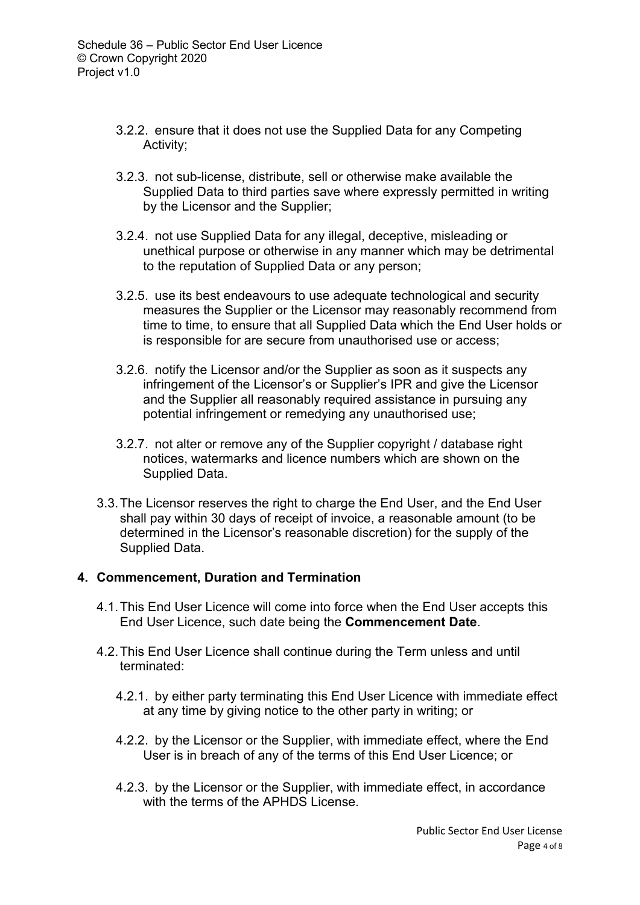- 3.2.2. ensure that it does not use the Supplied Data for any Competing Activity;
- 3.2.3. not sub-license, distribute, sell or otherwise make available the Supplied Data to third parties save where expressly permitted in writing by the Licensor and the Supplier;
- 3.2.4. not use Supplied Data for any illegal, deceptive, misleading or unethical purpose or otherwise in any manner which may be detrimental to the reputation of Supplied Data or any person;
- 3.2.5. use its best endeavours to use adequate technological and security measures the Supplier or the Licensor may reasonably recommend from time to time, to ensure that all Supplied Data which the End User holds or is responsible for are secure from unauthorised use or access;
- 3.2.6. notify the Licensor and/or the Supplier as soon as it suspects any infringement of the Licensor's or Supplier's IPR and give the Licensor and the Supplier all reasonably required assistance in pursuing any potential infringement or remedying any unauthorised use;
- 3.2.7. not alter or remove any of the Supplier copyright / database right notices, watermarks and licence numbers which are shown on the Supplied Data.
- 3.3.The Licensor reserves the right to charge the End User, and the End User shall pay within 30 days of receipt of invoice, a reasonable amount (to be determined in the Licensor's reasonable discretion) for the supply of the Supplied Data.

### **4. Commencement, Duration and Termination**

- 4.1.This End User Licence will come into force when the End User accepts this End User Licence, such date being the **Commencement Date**.
- 4.2.This End User Licence shall continue during the Term unless and until terminated:
	- 4.2.1. by either party terminating this End User Licence with immediate effect at any time by giving notice to the other party in writing; or
	- 4.2.2. by the Licensor or the Supplier, with immediate effect, where the End User is in breach of any of the terms of this End User Licence; or
	- 4.2.3. by the Licensor or the Supplier, with immediate effect, in accordance with the terms of the APHDS License.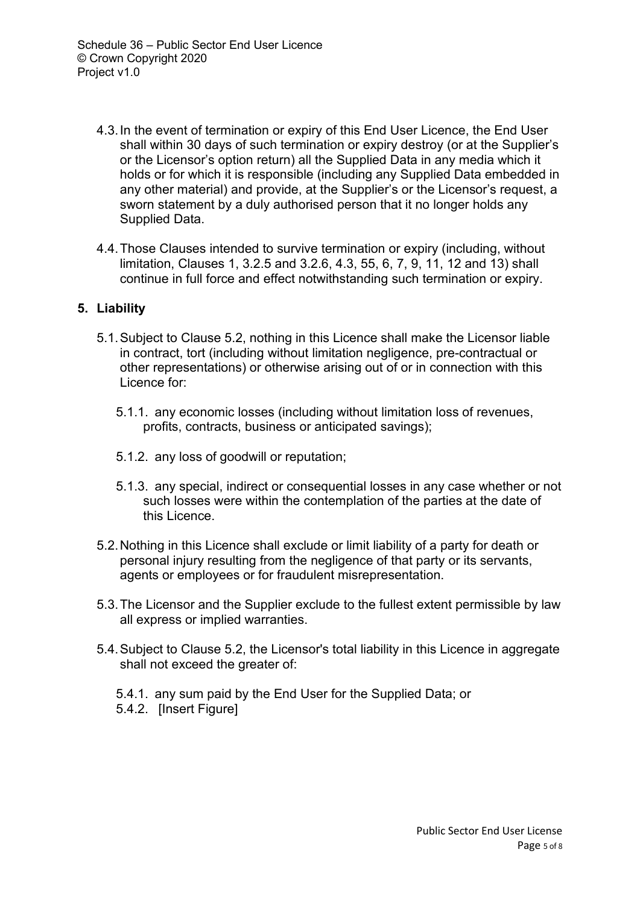- 4.3.In the event of termination or expiry of this End User Licence, the End User shall within 30 days of such termination or expiry destroy (or at the Supplier's or the Licensor's option return) all the Supplied Data in any media which it holds or for which it is responsible (including any Supplied Data embedded in any other material) and provide, at the Supplier's or the Licensor's request, a sworn statement by a duly authorised person that it no longer holds any Supplied Data.
- 4.4.Those Clauses intended to survive termination or expiry (including, without limitation, Clauses 1, 3.2.5 and 3.2.6, 4.3, 55, 6, 7, 9, 11, 12 and 13) shall continue in full force and effect notwithstanding such termination or expiry.

## **5. Liability**

- 5.1.Subject to Clause 5.2, nothing in this Licence shall make the Licensor liable in contract, tort (including without limitation negligence, pre-contractual or other representations) or otherwise arising out of or in connection with this Licence for:
	- 5.1.1. any economic losses (including without limitation loss of revenues, profits, contracts, business or anticipated savings);
	- 5.1.2. any loss of goodwill or reputation;
	- 5.1.3. any special, indirect or consequential losses in any case whether or not such losses were within the contemplation of the parties at the date of this Licence.
- 5.2.Nothing in this Licence shall exclude or limit liability of a party for death or personal injury resulting from the negligence of that party or its servants, agents or employees or for fraudulent misrepresentation.
- 5.3.The Licensor and the Supplier exclude to the fullest extent permissible by law all express or implied warranties.
- 5.4.Subject to Clause 5.2, the Licensor's total liability in this Licence in aggregate shall not exceed the greater of:
	- 5.4.1. any sum paid by the End User for the Supplied Data; or 5.4.2. [Insert Figure]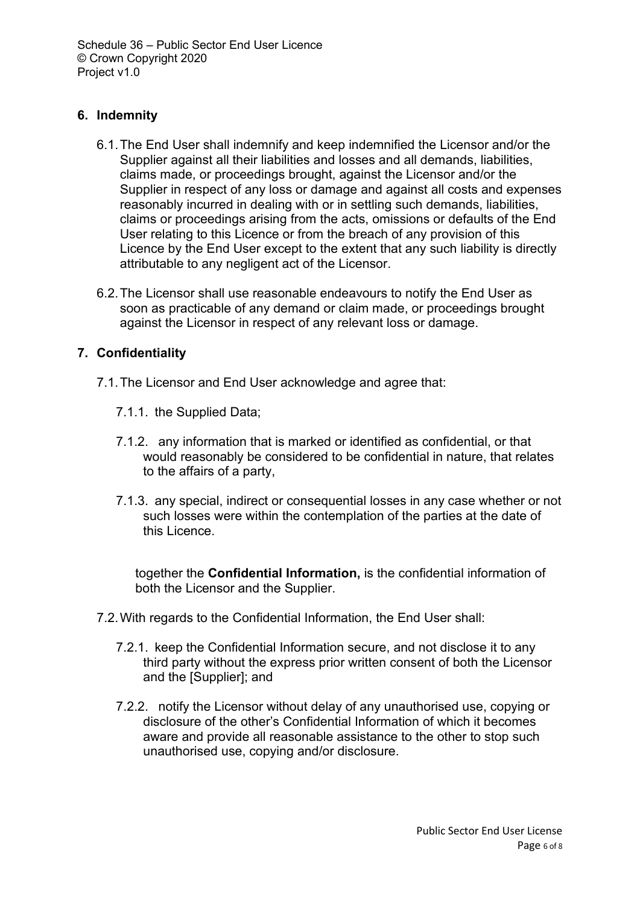## **6. Indemnity**

- 6.1.The End User shall indemnify and keep indemnified the Licensor and/or the Supplier against all their liabilities and losses and all demands, liabilities, claims made, or proceedings brought, against the Licensor and/or the Supplier in respect of any loss or damage and against all costs and expenses reasonably incurred in dealing with or in settling such demands, liabilities, claims or proceedings arising from the acts, omissions or defaults of the End User relating to this Licence or from the breach of any provision of this Licence by the End User except to the extent that any such liability is directly attributable to any negligent act of the Licensor.
- 6.2.The Licensor shall use reasonable endeavours to notify the End User as soon as practicable of any demand or claim made, or proceedings brought against the Licensor in respect of any relevant loss or damage.

## **7. Confidentiality**

- 7.1.The Licensor and End User acknowledge and agree that:
	- 7.1.1. the Supplied Data;
	- 7.1.2. any information that is marked or identified as confidential, or that would reasonably be considered to be confidential in nature, that relates to the affairs of a party,
	- 7.1.3. any special, indirect or consequential losses in any case whether or not such losses were within the contemplation of the parties at the date of this Licence.

together the **Confidential Information,** is the confidential information of both the Licensor and the Supplier.

- 7.2.With regards to the Confidential Information, the End User shall:
	- 7.2.1. keep the Confidential Information secure, and not disclose it to any third party without the express prior written consent of both the Licensor and the [Supplier]; and
	- 7.2.2. notify the Licensor without delay of any unauthorised use, copying or disclosure of the other's Confidential Information of which it becomes aware and provide all reasonable assistance to the other to stop such unauthorised use, copying and/or disclosure.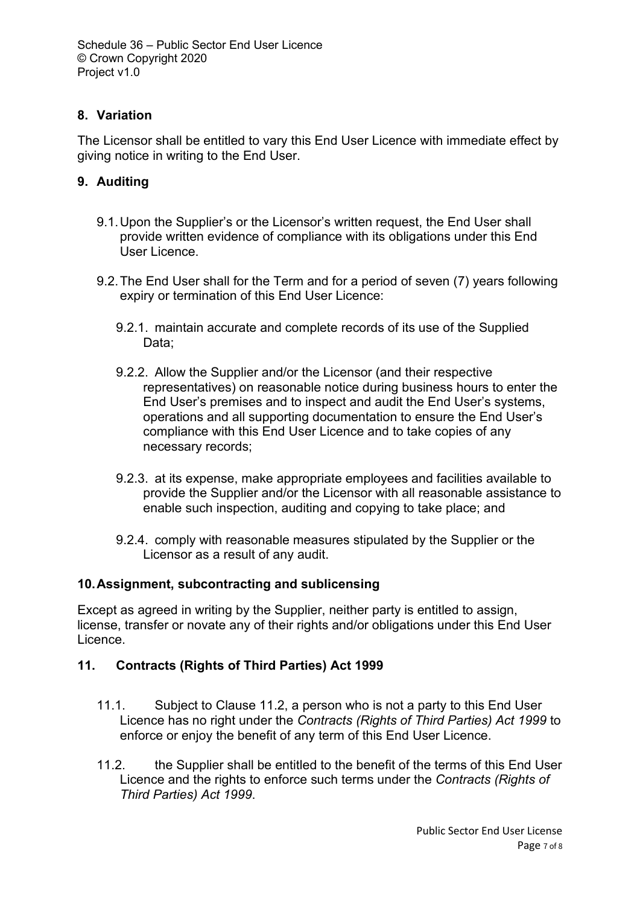# **8. Variation**

The Licensor shall be entitled to vary this End User Licence with immediate effect by giving notice in writing to the End User.

# **9. Auditing**

- 9.1.Upon the Supplier's or the Licensor's written request, the End User shall provide written evidence of compliance with its obligations under this End User Licence.
- 9.2.The End User shall for the Term and for a period of seven (7) years following expiry or termination of this End User Licence:
	- 9.2.1. maintain accurate and complete records of its use of the Supplied Data;
	- 9.2.2. Allow the Supplier and/or the Licensor (and their respective representatives) on reasonable notice during business hours to enter the End User's premises and to inspect and audit the End User's systems, operations and all supporting documentation to ensure the End User's compliance with this End User Licence and to take copies of any necessary records;
	- 9.2.3. at its expense, make appropriate employees and facilities available to provide the Supplier and/or the Licensor with all reasonable assistance to enable such inspection, auditing and copying to take place; and
	- 9.2.4. comply with reasonable measures stipulated by the Supplier or the Licensor as a result of any audit.

### **10.Assignment, subcontracting and sublicensing**

Except as agreed in writing by the Supplier, neither party is entitled to assign, license, transfer or novate any of their rights and/or obligations under this End User Licence.

# **11. Contracts (Rights of Third Parties) Act 1999**

- 11.1. Subject to Clause 11.2, a person who is not a party to this End User Licence has no right under the *Contracts (Rights of Third Parties) Act 1999* to enforce or enjoy the benefit of any term of this End User Licence.
- 11.2. the Supplier shall be entitled to the benefit of the terms of this End User Licence and the rights to enforce such terms under the *Contracts (Rights of Third Parties) Act 1999*.